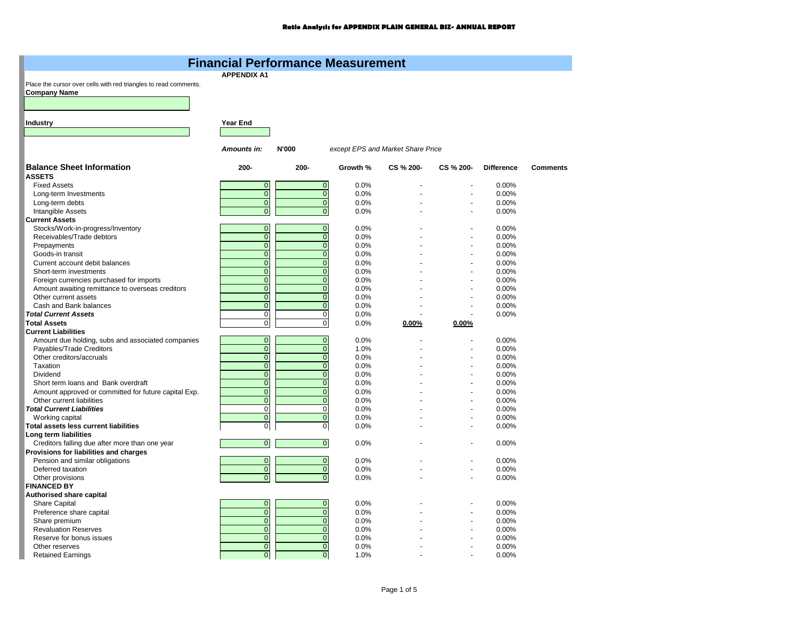## **Financial Performance Measurement**

**Company Name** Place the cursor over cells with red triangles to read comments. **APPENDIX A1**

| Industry                                             | Year End                |                |          |                                   |                |                   |                 |
|------------------------------------------------------|-------------------------|----------------|----------|-----------------------------------|----------------|-------------------|-----------------|
|                                                      | Amounts in:             | N'000          |          | except EPS and Market Share Price |                |                   |                 |
| <b>Balance Sheet Information</b>                     | $200 -$                 | $200 -$        | Growth % | CS % 200-                         | CS % 200-      | <b>Difference</b> | <b>Comments</b> |
| <b>ASSETS</b>                                        |                         |                |          |                                   |                |                   |                 |
| <b>Fixed Assets</b>                                  | $\mathbf 0$             | $\pmb{0}$      | 0.0%     |                                   |                | 0.00%             |                 |
| Long-term Investments                                | $\mathbf 0$             | $\overline{0}$ | 0.0%     |                                   |                | 0.00%             |                 |
| Long-term debts                                      | $\mathbf 0$             | $\overline{0}$ | 0.0%     |                                   |                | 0.00%             |                 |
| Intangible Assets                                    | $\overline{0}$          | $\overline{0}$ | 0.0%     |                                   |                | 0.00%             |                 |
| <b>Current Assets</b>                                |                         |                |          |                                   |                |                   |                 |
| Stocks/Work-in-progress/Inventory                    | $\mathbf 0$             | $\mathbf 0$    | 0.0%     |                                   |                | 0.00%             |                 |
| Receivables/Trade debtors                            | $\overline{0}$          | $\overline{0}$ | 0.0%     |                                   |                | 0.00%             |                 |
| Prepayments                                          | $\overline{0}$          | $\overline{0}$ | 0.0%     |                                   |                | 0.00%             |                 |
| Goods-in transit                                     | $\mathbf 0$             | $\mathbf 0$    | 0.0%     |                                   |                | 0.00%             |                 |
| Current account debit balances                       | $\mathbf 0$             | $\overline{0}$ | 0.0%     |                                   |                | 0.00%             |                 |
| Short-term investments                               | $\overline{0}$          | $\overline{0}$ | 0.0%     |                                   |                | 0.00%             |                 |
| Foreign currencies purchased for imports             | $\overline{0}$          | $\overline{0}$ | 0.0%     |                                   |                | 0.00%             |                 |
| Amount awaiting remittance to overseas creditors     | $\overline{0}$          | $\overline{0}$ | 0.0%     |                                   |                | 0.00%             |                 |
| Other current assets                                 | $\overline{0}$          | $\overline{0}$ | 0.0%     |                                   | $\blacksquare$ | 0.00%             |                 |
| Cash and Bank balances                               | $\overline{\mathbf{0}}$ | $\overline{0}$ | 0.0%     |                                   |                | 0.00%             |                 |
| <b>Total Current Assets</b>                          | $\pmb{0}$               | $\mathbf 0$    | 0.0%     |                                   |                | 0.00%             |                 |
| <b>Total Assets</b>                                  | $\mathbf 0$             | $\overline{0}$ | 0.0%     | 0.00%                             | 0.00%          |                   |                 |
| <b>Current Liabilities</b>                           |                         |                |          |                                   |                |                   |                 |
| Amount due holding, subs and associated companies    | $\overline{0}$          | $\overline{0}$ | 0.0%     |                                   |                | 0.00%             |                 |
| Payables/Trade Creditors                             | $\mathbf 0$             | $\mathbf 0$    | 1.0%     |                                   |                | 0.00%             |                 |
| Other creditors/accruals                             | $\overline{0}$          | $\overline{0}$ | 0.0%     |                                   |                | 0.00%             |                 |
| Taxation                                             | $\overline{0}$          | $\overline{0}$ | 0.0%     |                                   |                | 0.00%             |                 |
| Dividend                                             | $\overline{0}$          | $\overline{0}$ | 0.0%     |                                   |                | 0.00%             |                 |
| Short term loans and Bank overdraft                  | $\mathbf 0$             | $\mathbf 0$    | 0.0%     |                                   |                | 0.00%             |                 |
| Amount approved or committed for future capital Exp. | $\overline{\mathbf{0}}$ | $\overline{0}$ | 0.0%     |                                   |                | 0.00%             |                 |
| Other current liabilities                            | $\overline{0}$          | $\overline{0}$ | 0.0%     |                                   | $\overline{a}$ | 0.00%             |                 |
| <b>Total Current Liabilities</b>                     | $\overline{0}$          | $\overline{0}$ | 0.0%     |                                   |                | 0.00%             |                 |
| Working capital                                      | $\overline{\mathbf{0}}$ | $\pmb{0}$      | 0.0%     |                                   | ÷,             | 0.00%             |                 |
| Total assets less current liabilities                | $\overline{0}$          | $\overline{0}$ | 0.0%     |                                   |                | 0.00%             |                 |
| Long term liabilities                                |                         |                |          |                                   |                |                   |                 |
| Creditors falling due after more than one year       | $\overline{0}$          | $\overline{0}$ | 0.0%     |                                   |                | 0.00%             |                 |
| Provisions for liabilities and charges               |                         |                |          |                                   |                |                   |                 |
| Pension and similar obligations                      | $\mathbf 0$             | $\overline{0}$ | 0.0%     |                                   |                | 0.00%             |                 |
| Deferred taxation                                    | $\overline{0}$          | $\overline{0}$ | 0.0%     |                                   |                | 0.00%             |                 |
| Other provisions                                     | $\overline{0}$          | $\overline{0}$ | 0.0%     |                                   |                | 0.00%             |                 |
| <b>FINANCED BY</b>                                   |                         |                |          |                                   |                |                   |                 |
| Authorised share capital                             |                         |                |          |                                   |                |                   |                 |
| <b>Share Capital</b>                                 | $\mathbf 0$             | $\mathbf 0$    | 0.0%     |                                   |                | 0.00%             |                 |
| Preference share capital                             | $\overline{0}$          | $\pmb{0}$      | 0.0%     |                                   |                | 0.00%             |                 |
| Share premium                                        | $\mathbf 0$             | $\overline{0}$ | 0.0%     |                                   |                | 0.00%             |                 |
| <b>Revaluation Reserves</b>                          | $\overline{0}$          | $\overline{0}$ | 0.0%     |                                   |                | 0.00%             |                 |
| Reserve for bonus issues                             | $\mathbf 0$             | $\overline{0}$ | 0.0%     |                                   |                | 0.00%             |                 |
| Other reserves                                       | $\overline{0}$          | $\overline{0}$ | 0.0%     |                                   |                | 0.00%             |                 |
| <b>Retained Earnings</b>                             | $\Omega$                | $\overline{0}$ | 1.0%     |                                   |                | 0.00%             |                 |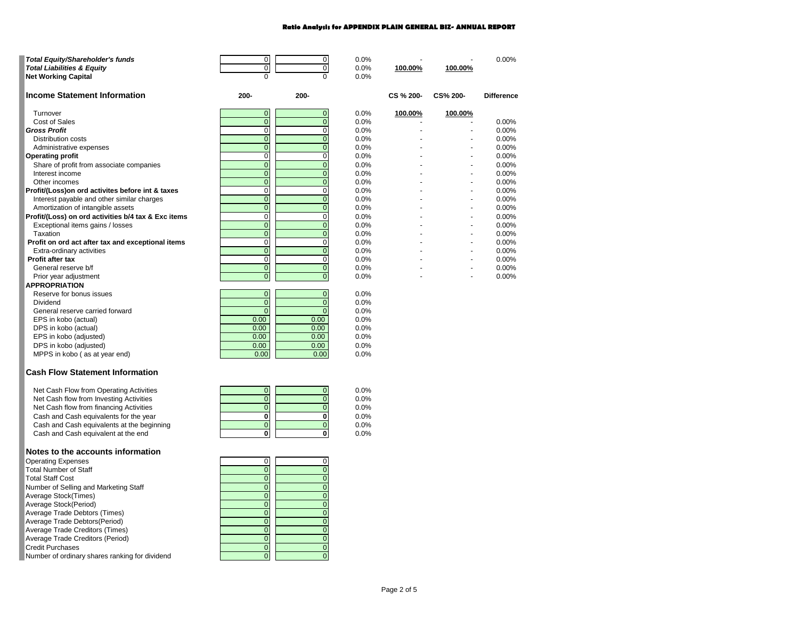### **Ratio Analysis for APPENDIX PLAIN GENERAL BIZ- ANNUAL REPORT**

| <b>Total Equity/Shareholder's funds</b><br><b>Total Liabilities &amp; Equity</b><br><b>Net Working Capital</b> | 0<br>$\mathbf 0$<br>$\Omega$ | 0<br>$\mathbf 0$<br>$\Omega$ | 0.0%<br>0.0%<br>0.0% | 100.00%   | 100.00%  | 0.00%             |
|----------------------------------------------------------------------------------------------------------------|------------------------------|------------------------------|----------------------|-----------|----------|-------------------|
| <b>Income Statement Information</b>                                                                            | $200 -$                      | $200 -$                      |                      | CS % 200- | CS% 200- | <b>Difference</b> |
| Turnover                                                                                                       | $\mathbf 0$                  | $\mathbf{0}$                 | 0.0%                 | 100.00%   | 100.00%  |                   |
| Cost of Sales                                                                                                  | $\overline{0}$               | $\Omega$                     | 0.0%                 |           |          | 0.00%             |
| <b>Gross Profit</b>                                                                                            | $\mathbf 0$                  | 0                            | 0.0%                 |           |          | 0.00%             |
| <b>Distribution costs</b>                                                                                      | $\overline{0}$               | $\mathbf{0}$                 | 0.0%                 |           |          | 0.00%             |
| Administrative expenses                                                                                        | $\mathbf 0$                  | $\Omega$                     | 0.0%                 |           |          | 0.00%             |
| <b>Operating profit</b>                                                                                        | $\overline{0}$               | 0                            | 0.0%                 |           |          | 0.00%             |
| Share of profit from associate companies                                                                       | $\overline{0}$               | $\overline{0}$               | 0.0%                 |           | ٠        | 0.00%             |
| Interest income                                                                                                | $\overline{0}$               | $\Omega$                     | 0.0%                 |           |          | 0.00%             |
| Other incomes                                                                                                  | $\overline{0}$               | $\mathbf{0}$                 | 0.0%                 |           |          | 0.00%             |
| Profit/(Loss)on ord activites before int & taxes                                                               | $\overline{0}$               | 0                            | 0.0%                 |           |          | 0.00%             |
| Interest payable and other similar charges                                                                     | $\overline{0}$               | $\Omega$                     | 0.0%                 |           |          | 0.00%             |
| Amortization of intangible assets                                                                              | $\overline{0}$               | $\Omega$                     | 0.0%                 |           |          | 0.00%             |
| Profit/(Loss) on ord activities b/4 tax & Exc items                                                            | $\mathbf 0$                  | $\mathbf 0$                  | 0.0%                 |           |          | 0.00%             |
| Exceptional items gains / losses                                                                               | $\overline{0}$               | $\mathbf{0}$                 | 0.0%                 |           |          | 0.00%             |
| Taxation                                                                                                       | $\overline{0}$               | $\mathbf{0}$                 | 0.0%                 |           | L,       | 0.00%             |
| Profit on ord act after tax and exceptional items                                                              | $\mathbf 0$                  | $\Omega$                     | 0.0%                 |           | ٠        | 0.00%             |
| Extra-ordinary activities                                                                                      | $\overline{0}$               | $\overline{0}$               | 0.0%                 |           | L,       | 0.00%             |
| Profit after tax                                                                                               | $\overline{0}$               | $\mathbf 0$                  | 0.0%                 |           | L,       | 0.00%             |
| General reserve b/f                                                                                            | $\overline{0}$               | $\Omega$                     | 0.0%                 |           | ٠        | $0.00\%$          |
| Prior year adjustment                                                                                          | $\overline{0}$               | $\Omega$                     | 0.0%                 |           | ٠        | 0.00%             |
| <b>APPROPRIATION</b>                                                                                           |                              |                              |                      |           |          |                   |
| Reserve for bonus issues                                                                                       | $\overline{0}$               | $\mathbf{0}$                 | 0.0%                 |           |          |                   |
| Dividend                                                                                                       | $\overline{0}$               | $\Omega$                     | 0.0%                 |           |          |                   |
| General reserve carried forward                                                                                | $\Omega$                     | $\Omega$                     | 0.0%                 |           |          |                   |
| EPS in kobo (actual)                                                                                           | 0.00                         | 0.00                         | 0.0%                 |           |          |                   |
| DPS in kobo (actual)                                                                                           | 0.00                         | 0.00                         | 0.0%                 |           |          |                   |
| EPS in kobo (adjusted)                                                                                         | 0.00                         | 0.00                         | 0.0%                 |           |          |                   |
| DPS in kobo (adjusted)                                                                                         | 0.00                         | 0.00                         | 0.0%                 |           |          |                   |
| MPPS in kobo (as at year end)                                                                                  | 0.00                         | 0.00                         | 0.0%                 |           |          |                   |
| <b>Cash Flow Statement Information</b>                                                                         |                              |                              |                      |           |          |                   |
| Net Cash Flow from Operating Activities                                                                        | $\mathbf 0$                  | $\mathbf{0}$                 | 0.0%                 |           |          |                   |
| Net Cash flow from Investing Activities                                                                        | $\overline{0}$               | $\mathbf{0}$                 | 0.0%                 |           |          |                   |
|                                                                                                                |                              |                              |                      |           |          |                   |

Net Cash flow from financing Activities **0 0 0.0%** Cash and Cash equivalents for the year **0** 0.0% Cash and Cash equivalents for the year **0** 0.0%<br>
Cash and Cash equivalents at the beginning 0.0% Cash and Cash equivalents at the beginning and Cash equivalent at the end of 0 0.0% Cash and Cash equivalent at the end 0 0.0% Cash and Cash equivalent at the end

## **Notes to the accounts information**

| <b>Operating Expenses</b>                      |  |
|------------------------------------------------|--|
| Total Number of Staff                          |  |
| <b>Total Staff Cost</b>                        |  |
| Number of Selling and Marketing Staff          |  |
| Average Stock(Times)                           |  |
| Average Stock (Period)                         |  |
| Average Trade Debtors (Times)                  |  |
| Average Trade Debtors (Period)                 |  |
| Average Trade Creditors (Times)                |  |
| Average Trade Creditors (Period)               |  |
| <b>Credit Purchases</b>                        |  |
| Number of ordinary shares ranking for dividend |  |

| $\overline{0}$ | $\mathbf{0}$   |
|----------------|----------------|
| $\frac{0}{0}$  | $\overline{0}$ |
|                | $\overline{0}$ |
| $\overline{0}$ | ñ              |
| $\overline{0}$ | Ò              |
| $\overline{0}$ | Ō              |
| $\overline{0}$ | Ċ              |
| $\overline{0}$ | ٢              |
| $rac{1}{0}$    | 0              |
|                | $\overline{0}$ |
|                | $\overline{0}$ |
| $\overline{0}$ | ń              |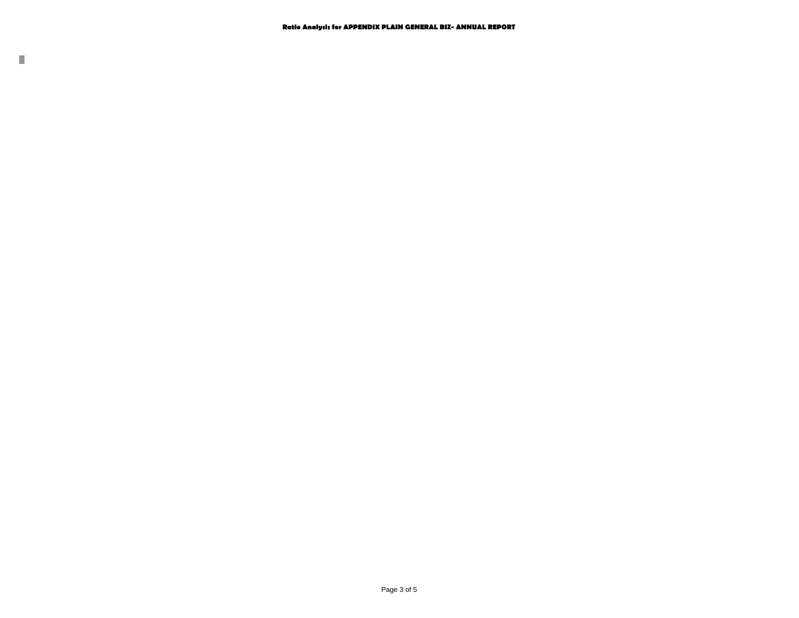**Ratio Analysis for APPENDIX PLAIN GENERAL BIZ- ANNUAL REPORT**

L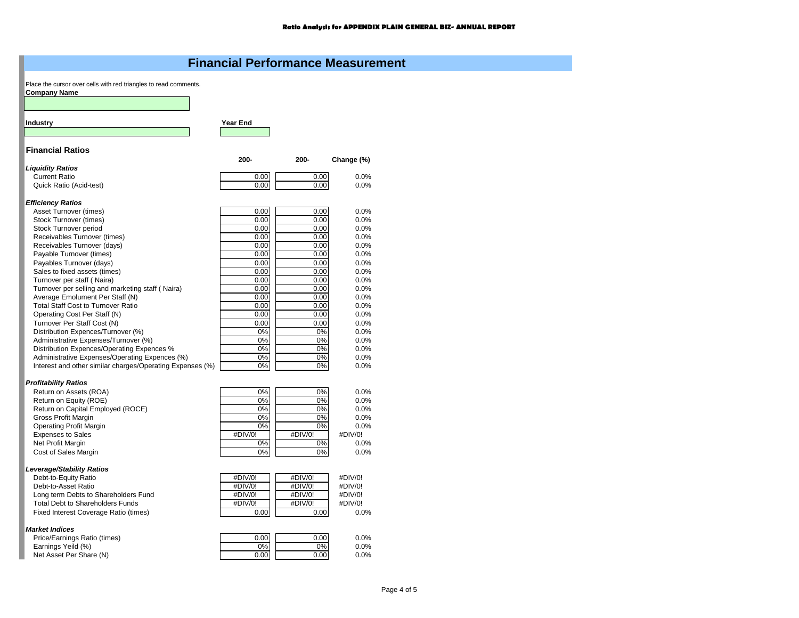# **Financial Performance Measurement**

**Company Name** Place the cursor over cells with red triangles to read comments.

| Industry                                                  | Year End |          |              |
|-----------------------------------------------------------|----------|----------|--------------|
| <b>Financial Ratios</b>                                   | $200 -$  | $200 -$  |              |
| <b>Liquidity Ratios</b>                                   |          |          | Change (%)   |
| <b>Current Ratio</b>                                      | 0.00     | 0.00     | 0.0%         |
| Quick Ratio (Acid-test)                                   | 0.00     | 0.00     | 0.0%         |
| <b>Efficiency Ratios</b>                                  |          |          |              |
| Asset Turnover (times)                                    | 0.00     | 0.00     | 0.0%         |
| Stock Turnover (times)                                    | 0.00     | 0.00     | 0.0%         |
| Stock Turnover period                                     | 0.00     | 0.00     | 0.0%         |
| Receivables Turnover (times)                              | 0.00     | 0.00     | 0.0%         |
| Receivables Turnover (days)                               | 0.00     | 0.00     | 0.0%         |
| Payable Turnover (times)                                  | 0.00     | 0.00     | 0.0%         |
| Payables Turnover (days)                                  | 0.00     | 0.00     | 0.0%         |
| Sales to fixed assets (times)                             | 0.00     | 0.00     | 0.0%         |
| Turnover per staff (Naira)                                | 0.00     | 0.00     | 0.0%         |
| Turnover per selling and marketing staff (Naira)          | 0.00     | 0.00     | 0.0%         |
| Average Emolument Per Staff (N)                           | 0.00     | 0.00     | 0.0%         |
| <b>Total Staff Cost to Turnover Ratio</b>                 | 0.00     | 0.00     | 0.0%         |
| Operating Cost Per Staff (N)                              | 0.00     | 0.00     | 0.0%         |
| Turnover Per Staff Cost (N)                               | 0.00     | 0.00     | 0.0%         |
| Distribution Expences/Turnover (%)                        | 0%       | 0%       | 0.0%         |
| Administrative Expenses/Turnover (%)                      | 0%       | 0%       | 0.0%         |
| Distribution Expences/Operating Expences %                | $0\%$    | 0%       | 0.0%         |
| Administrative Expenses/Operating Expences (%)            | 0%       | 0%       | 0.0%         |
| Interest and other similar charges/Operating Expenses (%) | 0%       | 0%       | 0.0%         |
|                                                           |          |          |              |
| <b>Profitability Ratios</b>                               |          | 0%       | 0.0%         |
| Return on Assets (ROA)                                    | 0%       |          |              |
| Return on Equity (ROE)                                    | 0%       | 0%       | 0.0%         |
| Return on Capital Employed (ROCE)                         | 0%<br>0% | $0\%$    | 0.0%         |
| Gross Profit Margin                                       |          | 0%       | 0.0%         |
| <b>Operating Profit Margin</b>                            | 0%       | 0%       | 0.0%         |
| <b>Expenses to Sales</b>                                  | #DIV/0!  | #DIV/0!  | #DIV/0!      |
| Net Profit Margin<br>Cost of Sales Margin                 | 0%<br>0% | 0%<br>0% | 0.0%<br>0.0% |
|                                                           |          |          |              |
| <b>Leverage/Stability Ratios</b>                          |          |          |              |
| Debt-to-Equity Ratio                                      | #DIV/0!  | #DIV/0!  | #DIV/0!      |
| Debt-to-Asset Ratio                                       | #DIV/0!  | #DIV/0!  | #DIV/0!      |
| Long term Debts to Shareholders Fund                      | #DIV/0!  | #DIV/0!  | #DIV/0!      |
| <b>Total Debt to Shareholders Funds</b>                   | #DIV/0!  | #DIV/0!  | #DIV/0!      |
| Fixed Interest Coverage Ratio (times)                     | 0.00     | 0.00     | 0.0%         |
| <b>Market Indices</b>                                     |          |          |              |
| Price/Earnings Ratio (times)                              | 0.00     | 0.00     | 0.0%         |
| Earnings Yeild (%)                                        | 0%       | 0%       | 0.0%         |

Net Asset Per Share (N) 0.00 | 0.00 | 0.0%